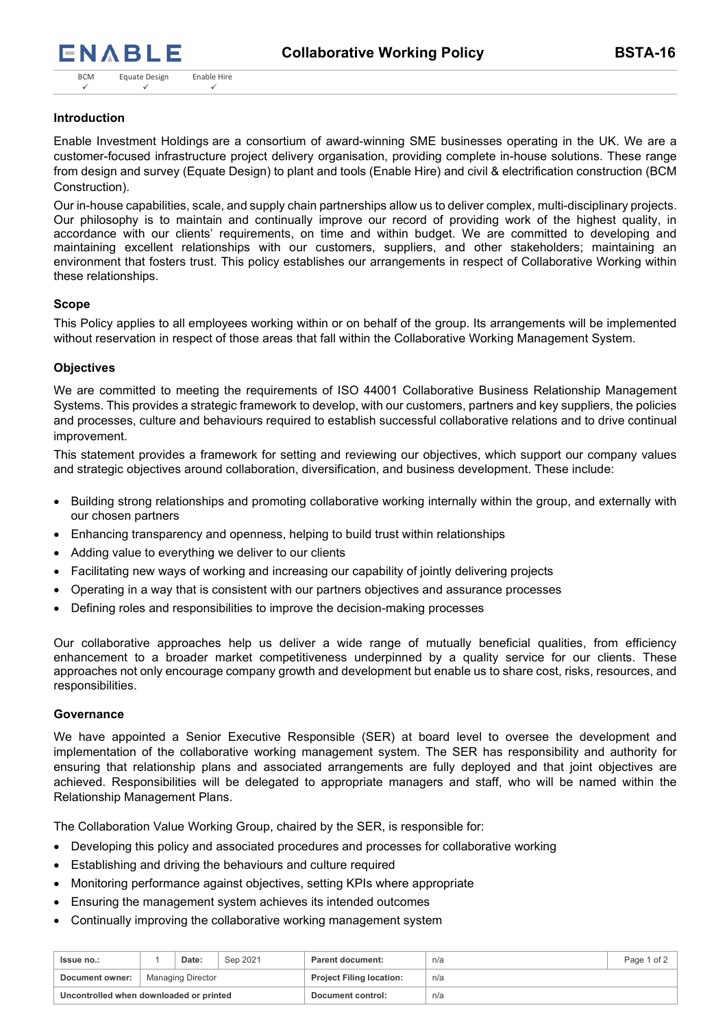# **Introduction**

Enable Investment Holdings are a consortium of award-winning SME businesses operating in the UK. We are a customer-focused infrastructure project delivery organisation, providing complete in-house solutions. These range from design and survey (Equate Design) to plant and tools (Enable Hire) and civil & electrification construction (BCM Construction).

Our in-house capabilities, scale, and supply chain partnerships allow us to deliver complex, multi-disciplinary projects. Our philosophy is to maintain and continually improve our record of providing work of the highest quality, in accordance with our clients' requirements, on time and within budget. We are committed to developing and maintaining excellent relationships with our customers, suppliers, and other stakeholders; maintaining an environment that fosters trust. This policy establishes our arrangements in respect of Collaborative Working within these relationships.

## **Scope**

This Policy applies to all employees working within or on behalf of the group. Its arrangements will be implemented without reservation in respect of those areas that fall within the Collaborative Working Management System.

# **Objectives**

We are committed to meeting the requirements of ISO 44001 Collaborative Business Relationship Management Systems. This provides a strategic framework to develop, with our customers, partners and key suppliers, the policies and processes, culture and behaviours required to establish successful collaborative relations and to drive continual improvement.

This statement provides a framework for setting and reviewing our objectives, which support our company values and strategic objectives around collaboration, diversification, and business development. These include:

- Building strong relationships and promoting collaborative working internally within the group, and externally with our chosen partners
- Enhancing transparency and openness, helping to build trust within relationships
- Adding value to everything we deliver to our clients
- Facilitating new ways of working and increasing our capability of jointly delivering projects
- Operating in a way that is consistent with our partners objectives and assurance processes
- Defining roles and responsibilities to improve the decision-making processes

Our collaborative approaches help us deliver a wide range of mutually beneficial qualities, from efficiency enhancement to a broader market competitiveness underpinned by a quality service for our clients. These approaches not only encourage company growth and development but enable us to share cost, risks, resources, and responsibilities.

## **Governance**

We have appointed a Senior Executive Responsible (SER) at board level to oversee the development and implementation of the collaborative working management system. The SER has responsibility and authority for ensuring that relationship plans and associated arrangements are fully deployed and that joint objectives are achieved. Responsibilities will be delegated to appropriate managers and staff, who will be named within the Relationship Management Plans.

The Collaboration Value Working Group, chaired by the SER, is responsible for:

- Developing this policy and associated procedures and processes for collaborative working
- Establishing and driving the behaviours and culture required
- Monitoring performance against objectives, setting KPIs where appropriate
- Ensuring the management system achieves its intended outcomes
- Continually improving the collaborative working management system

| <b>Issue no.:</b>                       |                   | Date: | Sep 2021 | <b>Parent document:</b>         | n/a | Page 1 of 2 |
|-----------------------------------------|-------------------|-------|----------|---------------------------------|-----|-------------|
| Document owner:                         | Managing Director |       |          | <b>Project Filing location:</b> | n/a |             |
| Uncontrolled when downloaded or printed |                   |       |          | Document control:               | n/a |             |